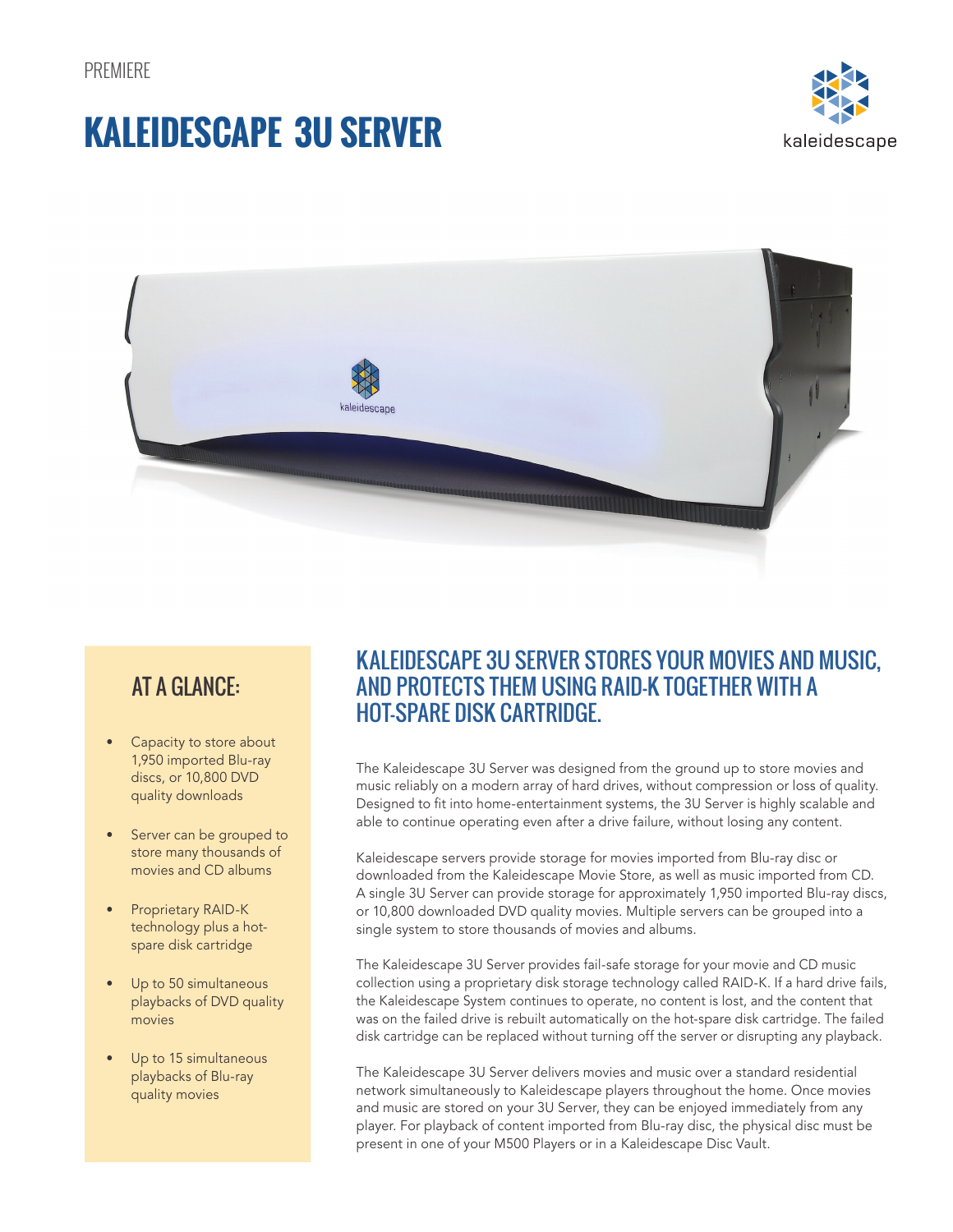# **KALEIDESCAPE 3U SERVER**





### AT A GLANCE:

- Capacity to store about 1,950 imported Blu-ray discs, or 10,800 DVD quality downloads
- Server can be grouped to store many thousands of movies and CD albums
- Proprietary RAID-K technology plus a hotspare disk cartridge
- Up to 50 simultaneous playbacks of DVD quality movies
- Up to 15 simultaneous playbacks of Blu-ray quality movies

### KALEIDESCAPE 3U SERVER STORES YOUR MOVIES AND MUSIC, AND PROTECTS THEM USING RAID-K TOGETHER WITH A HOT-SPARE DISK CARTRIDGE.

The Kaleidescape 3U Server was designed from the ground up to store movies and music reliably on a modern array of hard drives, without compression or loss of quality. Designed to fit into home-entertainment systems, the 3U Server is highly scalable and able to continue operating even after a drive failure, without losing any content.

Kaleidescape servers provide storage for movies imported from Blu-ray disc or downloaded from the Kaleidescape Movie Store, as well as music imported from CD. A single 3U Server can provide storage for approximately 1,950 imported Blu-ray discs, or 10,800 downloaded DVD quality movies. Multiple servers can be grouped into a single system to store thousands of movies and albums.

The Kaleidescape 3U Server provides fail-safe storage for your movie and CD music collection using a proprietary disk storage technology called RAID-K. If a hard drive fails, the Kaleidescape System continues to operate, no content is lost, and the content that was on the failed drive is rebuilt automatically on the hot-spare disk cartridge. The failed disk cartridge can be replaced without turning off the server or disrupting any playback.

The Kaleidescape 3U Server delivers movies and music over a standard residential network simultaneously to Kaleidescape players throughout the home. Once movies and music are stored on your 3U Server, they can be enjoyed immediately from any player. For playback of content imported from Blu-ray disc, the physical disc must be present in one of your M500 Players or in a Kaleidescape Disc Vault.